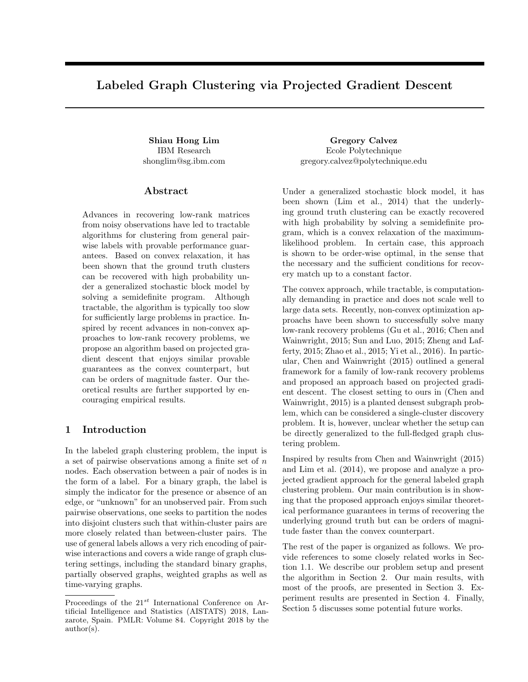# Labeled Graph Clustering via Projected Gradient Descent

IBM Research shonglim@sg.ibm.com

## Abstract

Advances in recovering low-rank matrices from noisy observations have led to tractable algorithms for clustering from general pairwise labels with provable performance guarantees. Based on convex relaxation, it has been shown that the ground truth clusters can be recovered with high probability under a generalized stochastic block model by solving a semidefinite program. Although tractable, the algorithm is typically too slow for sufficiently large problems in practice. Inspired by recent advances in non-convex approaches to low-rank recovery problems, we propose an algorithm based on projected gradient descent that enjoys similar provable guarantees as the convex counterpart, but can be orders of magnitude faster. Our theoretical results are further supported by encouraging empirical results.

# 1 Introduction

In the labeled graph clustering problem, the input is a set of pairwise observations among a finite set of n nodes. Each observation between a pair of nodes is in the form of a label. For a binary graph, the label is simply the indicator for the presence or absence of an edge, or "unknown" for an unobserved pair. From such pairwise observations, one seeks to partition the nodes into disjoint clusters such that within-cluster pairs are more closely related than between-cluster pairs. The use of general labels allows a very rich encoding of pairwise interactions and covers a wide range of graph clustering settings, including the standard binary graphs, partially observed graphs, weighted graphs as well as time-varying graphs.

Shiau Hong Lim Gregory Calvez Ecole Polytechnique gregory.calvez@polytechnique.edu

> Under a generalized stochastic block model, it has been shown (Lim et al., 2014) that the underlying ground truth clustering can be exactly recovered with high probability by solving a semidefinite program, which is a convex relaxation of the maximumlikelihood problem. In certain case, this approach is shown to be order-wise optimal, in the sense that the necessary and the sufficient conditions for recovery match up to a constant factor.

> The convex approach, while tractable, is computationally demanding in practice and does not scale well to large data sets. Recently, non-convex optimization approachs have been shown to successfully solve many low-rank recovery problems (Gu et al., 2016; Chen and Wainwright, 2015; Sun and Luo, 2015; Zheng and Lafferty, 2015; Zhao et al., 2015; Yi et al., 2016). In particular, Chen and Wainwright (2015) outlined a general framework for a family of low-rank recovery problems and proposed an approach based on projected gradient descent. The closest setting to ours in (Chen and Wainwright, 2015) is a planted densest subgraph problem, which can be considered a single-cluster discovery problem. It is, however, unclear whether the setup can be directly generalized to the full-fledged graph clustering problem.

> Inspired by results from Chen and Wainwright (2015) and Lim et al. (2014), we propose and analyze a projected gradient approach for the general labeled graph clustering problem. Our main contribution is in showing that the proposed approach enjoys similar theoretical performance guarantees in terms of recovering the underlying ground truth but can be orders of magnitude faster than the convex counterpart.

> The rest of the paper is organized as follows. We provide references to some closely related works in Section 1.1. We describe our problem setup and present the algorithm in Section 2. Our main results, with most of the proofs, are presented in Section 3. Experiment results are presented in Section 4. Finally, Section 5 discusses some potential future works.

Proceedings of the  $21^{st}$  International Conference on Artificial Intelligence and Statistics (AISTATS) 2018, Lanzarote, Spain. PMLR: Volume 84. Copyright 2018 by the author(s).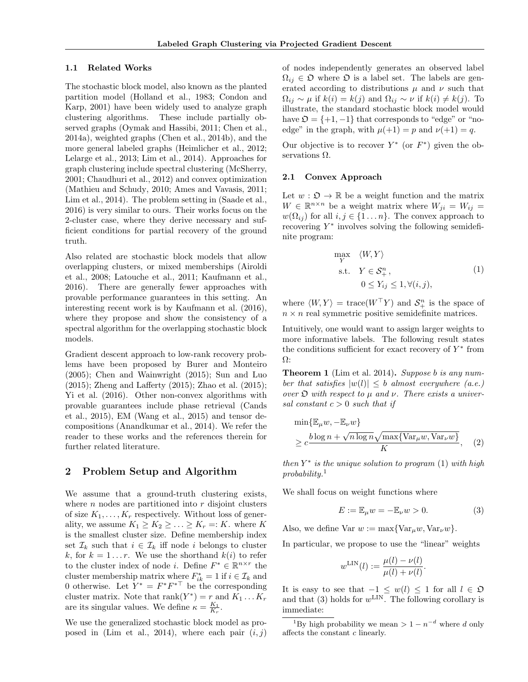#### 1.1 Related Works

The stochastic block model, also known as the planted partition model (Holland et al., 1983; Condon and Karp, 2001) have been widely used to analyze graph clustering algorithms. These include partially observed graphs (Oymak and Hassibi, 2011; Chen et al., 2014a), weighted graphs (Chen et al., 2014b), and the more general labeled graphs (Heimlicher et al., 2012; Lelarge et al., 2013; Lim et al., 2014). Approaches for graph clustering include spectral clustering (McSherry, 2001; Chaudhuri et al., 2012) and convex optimization (Mathieu and Schudy, 2010; Ames and Vavasis, 2011; Lim et al., 2014). The problem setting in (Saade et al., 2016) is very similar to ours. Their works focus on the 2-cluster case, where they derive necessary and sufficient conditions for partial recovery of the ground truth.

Also related are stochastic block models that allow overlapping clusters, or mixed memberships (Airoldi et al., 2008; Latouche et al., 2011; Kaufmann et al., 2016). There are generally fewer approaches with provable performance guarantees in this setting. An interesting recent work is by Kaufmann et al. (2016), where they propose and show the consistency of a spectral algorithm for the overlapping stochastic block models.

Gradient descent approach to low-rank recovery problems have been proposed by Burer and Monteiro (2005); Chen and Wainwright (2015); Sun and Luo (2015); Zheng and Lafferty (2015); Zhao et al. (2015); Yi et al. (2016). Other non-convex algorithms with provable guarantees include phase retrieval (Cands et al., 2015), EM (Wang et al., 2015) and tensor decompositions (Anandkumar et al., 2014). We refer the reader to these works and the references therein for further related literature.

## 2 Problem Setup and Algorithm

We assume that a ground-truth clustering exists, where  $n$  nodes are partitioned into  $r$  disjoint clusters of size  $K_1, \ldots, K_r$  respectively. Without loss of generality, we assume  $K_1 \geq K_2 \geq \ldots \geq K_r =: K$ . where K is the smallest cluster size. Define membership index set  $\mathcal{I}_k$  such that  $i \in \mathcal{I}_k$  iff node i belongs to cluster k, for  $k = 1...r$ . We use the shorthand  $k(i)$  to refer to the cluster index of node *i*. Define  $F^* \in \mathbb{R}^{n \times r}$  the cluster membership matrix where  $F_{ik}^* = 1$  if  $i \in \mathcal{I}_k$  and 0 otherwise. Let  $Y^* = F^*F^{*\top}$  be the corresponding cluster matrix. Note that  $\text{rank}(Y^*) = r$  and  $K_1 \dots K_r$ are its singular values. We define  $\kappa = \frac{K_1}{K_r}$ .

We use the generalized stochastic block model as proposed in (Lim et al., 2014), where each pair  $(i, j)$  of nodes independently generates an observed label  $\Omega_{ij} \in \mathfrak{O}$  where  $\mathfrak{O}$  is a label set. The labels are generated according to distributions  $\mu$  and  $\nu$  such that  $\Omega_{ij} \sim \mu$  if  $k(i) = k(j)$  and  $\Omega_{ij} \sim \nu$  if  $k(i) \neq k(j)$ . To illustrate, the standard stochastic block model would have  $\mathfrak{O} = \{+1, -1\}$  that corresponds to "edge" or "noedge" in the graph, with  $\mu(+1) = p$  and  $\nu(+1) = q$ .

Our objective is to recover  $Y^*$  (or  $F^*$ ) given the observations  $\Omega.$ 

#### 2.1 Convex Approach

Let  $w : \mathfrak{O} \to \mathbb{R}$  be a weight function and the matrix  $W \in \mathbb{R}^{n \times n}$  be a weight matrix where  $W_{ji} = W_{ij} =$  $w(\Omega_{ij})$  for all  $i, j \in \{1 \dots n\}$ . The convex approach to recovering  $Y^*$  involves solving the following semidefinite program:

$$
\max_{Y} \langle W, Y \rangle
$$
  
s.t.  $Y \in \mathcal{S}_{+}^{n}$ ,  
 $0 \le Y_{ij} \le 1, \forall (i, j)$ , (1)

where  $\langle W, Y \rangle = \text{trace}(W^{\top}Y)$  and  $S_{+}^{n}$  is the space of  $n \times n$  real symmetric positive semidefinite matrices.

Intuitively, one would want to assign larger weights to more informative labels. The following result states the conditions sufficient for exact recovery of  $Y^*$  from Ω:

**Theorem 1** (Lim et al. 2014). Suppose b is any number that satisfies  $|w(l)| \leq b$  almost everywhere (a.e.) over  $\mathfrak D$  with respect to  $\mu$  and  $\nu$ . There exists a universal constant  $c > 0$  such that if

$$
\min{\mathbb{E}_{\mu}w, -\mathbb{E}_{\nu}w}
$$
  
\n
$$
\geq c \frac{b \log n + \sqrt{n \log n} \sqrt{\max{\text{Var}_{\mu}w, \text{Var}_{\nu}w}}}{K},
$$
 (2)

then  $Y^*$  is the unique solution to program  $(1)$  with high  $probability.<sup>1</sup>$ 

We shall focus on weight functions where

$$
E := \mathbb{E}_{\mu} w = -\mathbb{E}_{\nu} w > 0. \tag{3}
$$

Also, we define Var  $w := \max\{\text{Var}_{\mu}w, \text{Var}_{\nu}w\}.$ 

In particular, we propose to use the "linear" weights

$$
w^{\text{LIN}}(l) := \frac{\mu(l) - \nu(l)}{\mu(l) + \nu(l)}.
$$

It is easy to see that  $-1 \leq w(l) \leq 1$  for all  $l \in \mathfrak{O}$ and that (3) holds for  $w^{\text{LIN}}$ . The following corollary is immediate:

<sup>1</sup>By high probability we mean >  $1 - n^{-d}$  where d only affects the constant c linearly.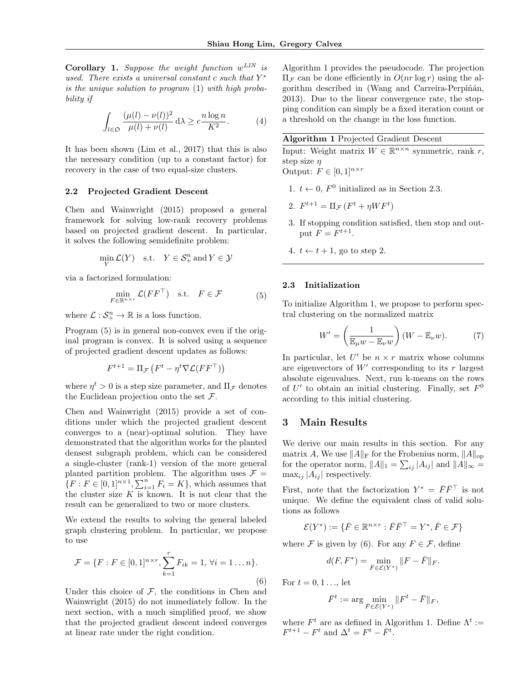**Corollary 1.** Suppose the weight function  $w^{LIN}$  is used. There exists a universal constant c such that  $Y^*$ is the unique solution to program (1) with high probability if

$$
\int_{l\in\mathfrak{O}}\frac{(\mu(l)-\nu(l))^2}{\mu(l)+\nu(l)}\,\mathrm{d}\lambda \ge c\frac{n\log n}{K^2}.\tag{4}
$$

It has been shown (Lim et al., 2017) that this is also the necessary condition (up to a constant factor) for recovery in the case of two equal-size clusters.

#### 2.2 Projected Gradient Descent

Chen and Wainwright (2015) proposed a general framework for solving low-rank recovery problems based on projected gradient descent. In particular, it solves the following semidefinite problem:

$$
\min_{Y} \mathcal{L}(Y) \quad \text{s.t.} \quad Y \in \mathcal{S}^n_+ \text{ and } Y \in \mathcal{Y}
$$

via a factorized formulation:

$$
\min_{F \in \mathbb{R}^{n \times r}} \mathcal{L}(FF^{\top}) \quad \text{s.t.} \quad F \in \mathcal{F} \tag{5}
$$

where  $\mathcal{L}: \mathcal{S}_{+}^{n} \to \mathbb{R}$  is a loss function.

Program (5) is in general non-convex even if the original program is convex. It is solved using a sequence of projected gradient descent updates as follows:

$$
F^{t+1} = \Pi_{\mathcal{F}}(F^t - \eta^t \nabla \mathcal{L}(F F^{\top}))
$$

where  $\eta^t > 0$  is a step size parameter, and  $\Pi_{\mathcal{F}}$  denotes the Euclidean projection onto the set  $\mathcal{F}$ .

Chen and Wainwright (2015) provide a set of conditions under which the projected gradient descent converges to a (near)-optimal solution. They have demonstrated that the algorithm works for the planted densest subgraph problem, which can be considered a single-cluster (rank-1) version of the more general planted partition problem. The algorithm uses  $\mathcal{F} =$  $\{F: F \in [0,1]^{n \times 1}, \sum_{i=1}^{n} F_i = K\}$ , which assumes that the cluster size  $K$  is known. It is not clear that the result can be generalized to two or more clusters.

We extend the results to solving the general labeled graph clustering problem. In particular, we propose to use

$$
\mathcal{F} = \{F : F \in [0, 1]^{n \times r}, \sum_{k=1}^{r} F_{ik} = 1, \forall i = 1...n\}.
$$
\n(6)

Under this choice of  $F$ , the conditions in Chen and Wainwright (2015) do not immediately follow. In the next section, with a much simplified proof, we show that the projected gradient descent indeed converges at linear rate under the right condition.

Algorithm 1 provides the pseudocode. The projection  $\Pi_{\mathcal{F}}$  can be done efficiently in  $O(nr \log r)$  using the algorithm described in (Wang and Carreira-Perpiñán, 2013). Due to the linear convergence rate, the stopping condition can simply be a fixed iteration count or a threshold on the change in the loss function.

#### Algorithm 1 Projected Gradient Descent

Input: Weight matrix  $W \in \mathbb{R}^{n \times n}$  symmetric, rank r, step size  $\eta$ 

Output:  $F \in [0,1]^{n \times r}$ 

- 1.  $t \leftarrow 0$ ,  $F^0$  initialized as in Section 2.3.
- 2.  $F^{t+1} = \Pi_{\mathcal{F}}(F^t + \eta WF^t)$
- 3. If stopping condition satisfied, then stop and output  $F = F^{t+1}$ .
- 4.  $t \leftarrow t + 1$ , go to step 2.

### 2.3 Initialization

To initialize Algorithm 1, we propose to perform spectral clustering on the normalized matrix

$$
W' = \left(\frac{1}{\mathbb{E}_{\mu}w - \mathbb{E}_{\nu}w}\right)(W - \mathbb{E}_{\nu}w). \tag{7}
$$

In particular, let  $U'$  be  $n \times r$  matrix whose columns are eigenvectors of  $W'$  corresponding to its r largest absolute eigenvalues. Next, run k-means on the rows of U' to obtain an initial clustering. Finally, set  $F^0$ according to this initial clustering.

## 3 Main Results

We derive our main results in this section. For any matrix A, We use  $||A||_F$  for the Frobenius norm,  $||A||_{op}$ for the operator norm,  $||A||_1 = \sum_{ij} |A_{ij}|$  and  $||A||_{\infty} =$  $\max_{ij} |A_{ij}|$  respectively.

First, note that the factorization  $Y^* = \bar{F} \bar{F}^\top$  is not unique. We define the equivalent class of valid solutions as follows

$$
\mathcal{E}(Y^*) := \{ \bar{F} \in \mathbb{R}^{n \times r} : \bar{F}\bar{F}^\top = Y^*, \bar{F} \in \mathcal{F} \}
$$

where  $\mathcal F$  is given by (6). For any  $F \in \mathcal F$ , define

$$
d(F, F^*) = \min_{\bar{F} \in \mathcal{E}(Y^*)} ||F - \bar{F}||_F.
$$

For  $t = 0, 1, \ldots$ , let

$$
\bar{F}^t := \arg\min_{\bar{F}\in\mathcal{E}(Y^*)} \|F^t - \bar{F}\|_F,
$$

where  $F^t$  are as defined in Algorithm 1. Define  $\Lambda^t :=$  $F^{t+1} - F^t$  and  $\Delta^t = F^t - \bar{F}^t$ .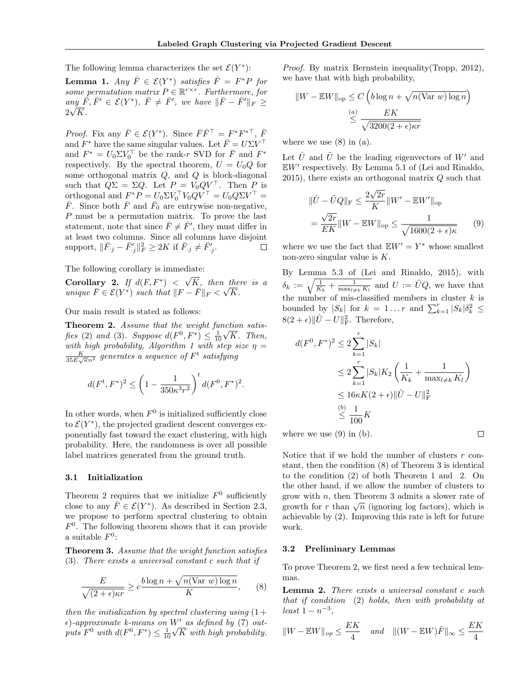The following lemma characterizes the set  $\mathcal{E}(Y^*)$ :

**Lemma 1.** Any  $\overline{F} \in \mathcal{E}(Y^*)$  satisfies  $\overline{F} = F^*P$  for some permutation matrix  $P \in \mathbb{R}^{r \times r}$ . Furthermore, for  $\mathit{any}\ \bar{F}, \bar{F}' \in \mathcal{E}(Y^*),\ \bar{F} \neq \bar{F}',\ \mathit{we}\ \mathit{have}\ \|\bar{F}-\bar{F}'\|_F \geq$  $2\sqrt{K}$ .

*Proof.* Fix any  $\bar{F} \in \mathcal{E}(Y^*)$ . Since  $\bar{F}\bar{F}^{\top} = F^*F^{*\top}$ ,  $\bar{F}$ and  $F^*$  have the same singular values. Let  $\bar{F} = U \Sigma V^{\top}$ and  $F^* = U_0 \Sigma V_0^\top$  be the rank-r SVD for  $\overline{F}$  and  $F^*$ respectively. By the spectral theorem,  $U = U_0 Q$  for some orthogonal matrix  $Q$ , and  $Q$  is block-diagonal such that  $Q\Sigma = \Sigma Q$ . Let  $P = V_0 Q V^\top$ . Then P is orthogonal and  $F^*P = U_0 \Sigma V_0^\top V_0 Q V^\top = U_0 Q \Sigma V^\top =$  $\bar{F}$ . Since both  $\bar{F}$  and  $\bar{F}_0$  are entrywise non-negative, P must be a permutation matrix. To prove the last statement, note that since  $\bar{F} \neq \bar{F}'$ , they must differ in at least two columns. Since all columns have disjoint support,  $\|\bar{F}_{.j} - \bar{F}'_{.j}\|_F^2 \ge 2K$  if  $\bar{F}_{.j} \ne \bar{F}'_{.j}$ .  $\Box$ 

The following corollary is immediate: √

Corollary 2. If  $d(F, F^*) <$  $K,$  then there is a unique  $\overline{F} \in \mathcal{E}(Y^*)$  such that  $||F - \overline{F}||_F < \sqrt{K}$ .

Our main result is stated as follows:

**Theorem 2.** Assume that the weight function satisfies (2) and (3). Suppose  $d(F^0, F^*) \leq \frac{1}{10}\sqrt{K}$ . Then, with high probability, Algorithm 1 with step size  $\eta =$  $\frac{K}{35E\sqrt{\kappa}n^2}$  generates a sequence of  $F^t$  satisfying

$$
d(F^t, F^*)^2 \le \left(1 - \frac{1}{350\kappa^3 r^2}\right)^t d(F^0, F^*)^2.
$$

In other words, when  $F^0$  is initialized sufficiently close to  $\mathcal{E}(Y^*)$ , the projected gradient descent converges exponentially fast toward the exact clustering, with high probability. Here, the randomness is over all possible label matrices generated from the ground truth.

#### 3.1 Initialization

Theorem 2 requires that we initialize  $F^0$  sufficiently close to any  $\overline{F} \in \mathcal{E}(Y^*)$ . As described in Section 2.3, we propose to perform spectral clustering to obtain  $F<sup>0</sup>$ . The following theorem shows that it can provide a suitable  $F^0$ :

Theorem 3. Assume that the weight function satisfies (3). There exists a universal constant c such that if

$$
\frac{E}{\sqrt{(2+\epsilon)\kappa r}} \ge c \frac{b \log n + \sqrt{n(\text{Var } w) \log n}}{K}, \qquad (8)
$$

then the initialization by spectral clustering using  $(1 +$  $\epsilon$ )-approximate k-means on W' as defined by (7) outputs  $F^0$  with  $d(F^0, F^*) \leq \frac{1}{10}\sqrt{K}$  with high probability.

Proof. By matrix Bernstein inequality (Tropp, 2012), we have that with high probability,

$$
||W - EW||_{\text{op}} \leq C \left( b \log n + \sqrt{n(\text{Var } w) \log n} \right)
$$

$$
\leq \frac{(\alpha)}{\sqrt{3200(2 + \epsilon)\kappa r}}
$$

where we use  $(8)$  in  $(a)$ .

Let  $\hat{U}$  and  $\tilde{U}$  be the leading eigenvectors of W' and  $\mathbb{E}W'$  respectively. By Lemma 5.1 of (Lei and Rinaldo, 2015), there exists an orthogonal matrix Q such that

$$
\|\hat{U} - \tilde{U}Q\|_{\text{F}} \le \frac{2\sqrt{2r}}{K} \|W' - \mathbb{E}W'\|_{\text{op}}
$$

$$
= \frac{\sqrt{2r}}{EK} \|W - \mathbb{E}W\|_{\text{op}} \le \frac{1}{\sqrt{1600(2+\epsilon)\kappa}} \tag{9}
$$

where we use the fact that  $\mathbb{E}W' = Y^*$  whose smallest non-zero singular value is K.

By Lemma 5.3 of (Lei and Rinaldo, 2015), with  $\delta_k := \sqrt{\frac{1}{K_k} + \frac{1}{\max_{l \neq k} K_l}}$  and  $U := \tilde{U}Q$ , we have that the number of mis-classified members in cluster  $k$  is bounded by  $|S_k|$  for  $k = 1...r$  and  $\sum_{k=1}^r |S_k| \delta_k^2 \leq$  $8(2 + \epsilon) \|\hat{U} - U\|_{\text{F}}^2$ . Therefore,

$$
d(F^{0}, F^{*})^{2} \le 2 \sum_{k=1}^{r} |S_{k}|
$$
  
\n
$$
\le 2 \sum_{k=1}^{r} |S_{k}| K_{2} \left( \frac{1}{K_{k}} + \frac{1}{\max_{l \neq k} K_{l}} \right)
$$
  
\n
$$
\le 16\kappa K (2 + \epsilon) ||\hat{U} - U||_{\text{F}}^{2}
$$
  
\n
$$
\le \frac{1}{100} K
$$

 $\Box$ 

where we use  $(9)$  in  $(b)$ .

Notice that if we hold the number of clusters  $r$  constant, then the condition (8) of Theorem 3 is identical to the condition (2) of both Theorem 1 and 2. On the other hand, if we allow the number of clusters to grow with  $n$ , then Theorem 3 admits a slower rate of grow with *n*, then Theorem 3 admits a slower rate of growth for r than  $\sqrt{n}$  (ignoring log factors), which is achievable by (2). Improving this rate is left for future work.

## 3.2 Preliminary Lemmas

To prove Theorem 2, we first need a few technical lemmas.

Lemma 2. There exists a universal constant c such that if condition (2) holds, then with probability at  $least 1 - n^{-3},$ 

$$
||W - \mathbb{E}W||_{op} \le \frac{EK}{4} \quad and \quad ||(W - \mathbb{E}W)\bar{F}||_{\infty} \le \frac{EK}{4}
$$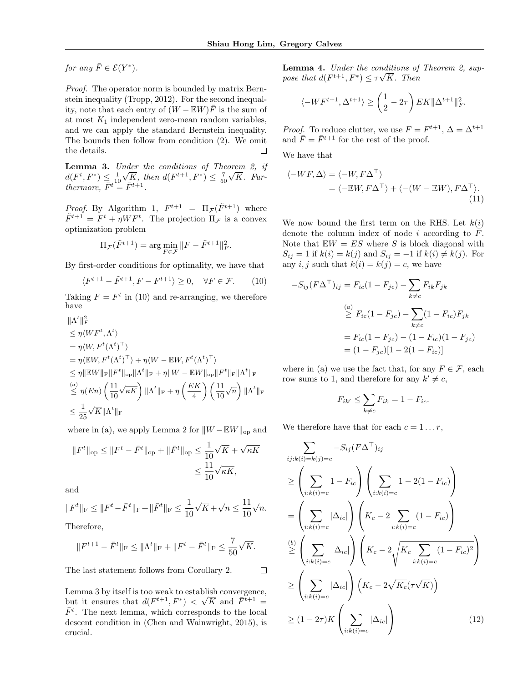for any  $\overline{F} \in \mathcal{E}(Y^*)$ .

Proof. The operator norm is bounded by matrix Bernstein inequality (Tropp, 2012). For the second inequality, note that each entry of  $(W - \mathbb{E}W)\overline{F}$  is the sum of at most  $K_1$  independent zero-mean random variables, and we can apply the standard Bernstein inequality. The bounds then follow from condition (2). We omit the details.  $\Box$ 

Lemma 3. Under the conditions of Theorem 2, if  $d(F^t, F^*) \leq \frac{1}{10}$  $n$ <sub> $\alpha$ </sub>  $\overline{K}$ , then  $d(F^{t+1}, F^*) \leq \frac{7}{50}$ √ K. Furthermore,  $\bar{F}^t = \bar{F}^{t+1}$ .

*Proof.* By Algorithm 1,  $F^{t+1} = \Pi_{\mathcal{F}}(\tilde{F}^{t+1})$  where  $\tilde{F}^{t+1} = F^t + \eta WF^t$ . The projection  $\Pi_{\mathcal{F}}$  is a convex optimization problem

$$
\Pi_{\mathcal{F}}(\tilde{F}^{t+1}) = \arg\min_{F \in \mathcal{F}} \|F - \tilde{F}^{t+1}\|_F^2.
$$

By first-order conditions for optimality, we have that

$$
\langle F^{t+1} - \tilde{F}^{t+1}, F - F^{t+1} \rangle \ge 0, \quad \forall F \in \mathcal{F}.
$$
 (10)

Taking  $F = F^t$  in (10) and re-arranging, we therefore have

$$
\|\Lambda^t\|_F^2
$$

$$
\leq \eta \langle W F^t, \Lambda^t \rangle
$$
  
\n
$$
= \eta \langle W, F^t(\Lambda^t)^\top \rangle
$$
  
\n
$$
= \eta \langle \mathbb{E} W, F^t(\Lambda^t)^\top \rangle + \eta \langle W - \mathbb{E} W, F^t(\Lambda^t)^\top \rangle
$$
  
\n
$$
\leq \eta \|\mathbb{E} W \|_{\mathcal{F}} \| F^t \|_{\text{op}} \| \Lambda^t \|_{\mathcal{F}} + \eta \| W - \mathbb{E} W \|_{\text{op}} \| F^t \|_{\mathcal{F}} \| \Lambda^t \|_{\mathcal{F}}
$$
  
\n
$$
\leq \eta (En) \left( \frac{11}{10} \sqrt{\kappa K} \right) \| \Lambda^t \|_{\mathcal{F}} + \eta \left( \frac{EK}{4} \right) \left( \frac{11}{10} \sqrt{n} \right) \| \Lambda^t \|_{\mathcal{F}}
$$
  
\n
$$
\leq \frac{1}{25} \sqrt{K} \| \Lambda^t \|_{\mathcal{F}}
$$

where in (a), we apply Lemma 2 for  $||W - EW||_{op}$  and

$$
||F^t||_{\text{op}} \le ||F^t - \bar{F}^t||_{\text{op}} + ||\bar{F}^t||_{\text{op}} \le \frac{1}{10}\sqrt{K} + \sqrt{\kappa K}
$$
  

$$
\le \frac{11}{10}\sqrt{\kappa K},
$$

and

$$
||F^t||_{\mathcal{F}} \le ||F^t - \bar{F}^t||_{\mathcal{F}} + ||\bar{F}^t||_{\mathcal{F}} \le \frac{1}{10}\sqrt{K} + \sqrt{n} \le \frac{11}{10}\sqrt{n}.
$$

Therefore,

$$
||F^{t+1} - \bar{F}^t||_{\mathcal{F}} \le ||\Lambda^t||_{\mathcal{F}} + ||F^t - \bar{F}^t||_{\mathcal{F}} \le \frac{7}{50}\sqrt{K}.
$$

The last statement follows from Corollary 2.  $\Box$ 

Lemma 3 by itself is too weak to establish convergence, but it ensures that  $d(F^{t+1}, F^*) < \sqrt{K}$  and  $\overline{F}^{t+1} =$  $\bar{F}^t$ . The next lemma, which corresponds to the local descent condition in (Chen and Wainwright, 2015), is crucial.

**Lemma 4.** Under the conditions of Theorem 2, suppose that  $d(F^{t+1}, F^*) \leq \tau \sqrt{K}$ . Then

$$
\langle -W F^{t+1}, \Delta^{t+1} \rangle \ge \left(\frac{1}{2} - 2\tau\right) E K ||\Delta^{t+1}||_F^2.
$$

*Proof.* To reduce clutter, we use  $F = F^{t+1}$ ,  $\Delta = \Delta^{t+1}$ and  $\bar{F} = \bar{F}^{t+1}$  for the rest of the proof.

We have that

$$
\langle -WF, \Delta \rangle = \langle -W, F\Delta^{\top} \rangle
$$
  
=  $\langle -\mathbb{E}W, F\Delta^{\top} \rangle + \langle -(W - \mathbb{E}W), F\Delta^{\top} \rangle.$  (11)

We now bound the first term on the RHS. Let  $k(i)$ denote the column index of node i according to  $\overline{F}$ . Note that  $E W = ES$  where S is block diagonal with  $S_{ij} = 1$  if  $k(i) = k(j)$  and  $S_{ij} = -1$  if  $k(i) \neq k(j)$ . For any  $i, j$  such that  $k(i) = k(j) = c$ , we have

$$
-S_{ij}(F\Delta^{\top})_{ij} = F_{ic}(1 - F_{jc}) - \sum_{k \neq c} F_{ik}F_{jk}
$$
  
\n
$$
\geq F_{ic}(1 - F_{jc}) - \sum_{k \neq c} (1 - F_{ic})F_{jk}
$$
  
\n
$$
= F_{ic}(1 - F_{jc}) - (1 - F_{ic})(1 - F_{jc})
$$
  
\n
$$
= (1 - F_{jc})[1 - 2(1 - F_{ic})]
$$

where in (a) we use the fact that, for any  $F \in \mathcal{F}$ , each row sums to 1, and therefore for any  $k' \neq c$ ,

$$
F_{ik'} \le \sum_{k \ne c} F_{ik} = 1 - F_{ic}.
$$

We therefore have that for each  $c = 1 \ldots r$ ,

$$
\sum_{ij:k(i)=k(j)=c} -S_{ij}(F\Delta^{\top})_{ij}
$$
\n
$$
\geq \left(\sum_{i:k(i)=c} 1 - F_{ic}\right) \left(\sum_{i:k(i)=c} 1 - 2(1 - F_{ic})\right)
$$
\n
$$
= \left(\sum_{i:k(i)=c} |\Delta_{ic}|\right) \left(K_c - 2 \sum_{i:k(i)=c} (1 - F_{ic})\right)
$$
\n
$$
\stackrel{(b)}{\geq} \left(\sum_{i:k(i)=c} |\Delta_{ic}|\right) \left(K_c - 2 \sqrt{K_c \sum_{i:k(i)=c} (1 - F_{ic})^2}\right)
$$
\n
$$
\geq \left(\sum_{i:k(i)=c} |\Delta_{ic}|\right) \left(K_c - 2\sqrt{K_c(\tau\sqrt{K})}\right)
$$
\n
$$
\geq (1 - 2\tau)K \left(\sum_{i:k(i)=c} |\Delta_{ic}|\right) \tag{12}
$$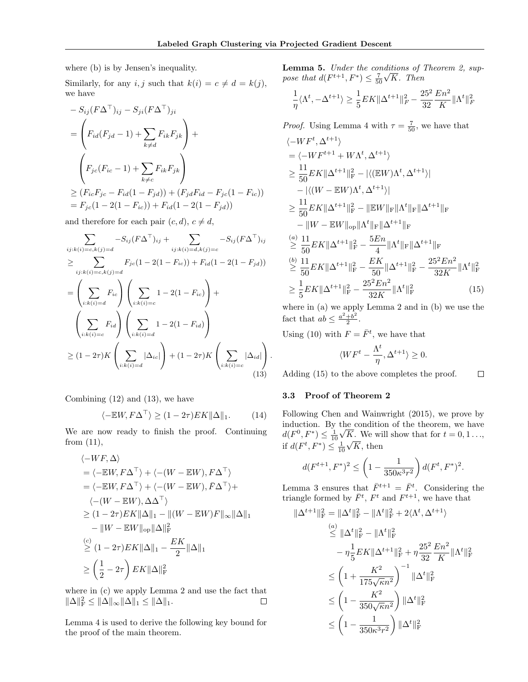where (b) is by Jensen's inequality.

Similarly, for any i, j such that  $k(i) = c \neq d = k(j)$ , we have

$$
- S_{ij}(F\Delta^{\top})_{ij} - S_{ji}(F\Delta^{\top})_{ji}
$$
  
=  $\left(F_{id}(F_{jd}-1) + \sum_{k \neq d} F_{ik}F_{jk}\right) +$   
 $\left(F_{jc}(F_{ic}-1) + \sum_{k \neq c} F_{ik}F_{jk}\right)$   
 $\geq (F_{ic}F_{jc} - F_{id}(1 - F_{jd})) + (F_{jd}F_{id} - F_{jc}(1 - F_{ic}))$   
=  $F_{jc}(1 - 2(1 - F_{ic})) + F_{id}(1 - 2(1 - F_{jd}))$ 

and therefore for each pair  $(c, d)$ ,  $c \neq d$ ,

$$
\sum_{ij:k(i)=c,k(j)=d} -S_{ij}(F\Delta^{\top})_{ij} + \sum_{ij:k(i)=d,k(j)=c} -S_{ij}(F\Delta^{\top})_{ij}
$$
\n
$$
\geq \sum_{ij:k(i)=c,k(j)=d} F_{jc}(1-2(1-F_{ic})) + F_{id}(1-2(1-F_{jd}))
$$
\n
$$
= \left(\sum_{i:k(i)=d} F_{ic}\right) \left(\sum_{i:k(i)=c} 1-2(1-F_{ic})\right) + \left(\sum_{i:k(i)=c} F_{id}\right) \left(\sum_{i:k(i)=d} 1-2(1-F_{id})\right)
$$
\n
$$
\geq (1-2\tau)K \left(\sum_{i:k(i)=d} |\Delta_{ic}|\right) + (1-2\tau)K \left(\sum_{i:k(i)=c} |\Delta_{id}|\right).
$$
\n(13)

Combining  $(12)$  and  $(13)$ , we have

$$
\langle -\mathbb{E}W, F\Delta^{\top} \rangle \ge (1 - 2\tau) E K \|\Delta\|_1. \tag{14}
$$

We are now ready to finish the proof. Continuing from (11),

$$
\langle -WF, \Delta \rangle
$$
  
=  $\langle -EW, F\Delta^{\top} \rangle + \langle -(W - EW), F\Delta^{\top} \rangle$   
=  $\langle -EW, F\Delta^{\top} \rangle + \langle -(W - EW), \overline{F}\Delta^{\top} \rangle +$   
 $\langle -(W - EW), \Delta \Delta^{\top} \rangle$   
 $\geq (1 - 2\tau)EK \|\Delta\|_1 - \| (W - EW)F\|_{\infty} \|\Delta\|_1$   
 $- \|W - EW\|_{\text{op}} \|\Delta\|_F^2$   
 $\stackrel{(c)}{\geq} (1 - 2\tau)EK \|\Delta\|_1 - \frac{EK}{2} \|\Delta\|_1$   
 $\geq \left(\frac{1}{2} - 2\tau\right)EK \|\Delta\|_F^2$ 

where in (c) we apply Lemma 2 and use the fact that  $\|\Delta\|_{\mathrm{F}}^2 \leq \|\Delta\|_{\infty} \|\Delta\|_1 \leq \|\Delta\|_1.$  $\Box$ 

Lemma 4 is used to derive the following key bound for the proof of the main theorem.

Lemma 5. Under the conditions of Theorem 2, suppose that  $d(F^{t+1}, F^*) \leq \frac{7}{50}$ √ K. Then

$$
\frac{1}{\eta}\langle \Lambda^{t}, -\Delta^{t+1}\rangle \geq \frac{1}{5}EK\|\Delta^{t+1}\|_F^2 - \frac{25^2}{32}\frac{En^2}{K}\|\Lambda^{t}\|_F^2
$$

*Proof.* Using Lemma 4 with  $\tau = \frac{7}{50}$ , we have that

$$
\langle -WF^{t}, \Delta^{t+1} \rangle
$$
  
\n
$$
= \langle -WF^{t+1} + W\Lambda^{t}, \Delta^{t+1} \rangle
$$
  
\n
$$
\geq \frac{11}{50} E K ||\Delta^{t+1}||_F^2 - |\langle (EW)\Lambda^{t}, \Delta^{t+1} \rangle|
$$
  
\n
$$
- |\langle (W - EW)\Lambda^{t}, \Delta^{t+1} \rangle|
$$
  
\n
$$
\geq \frac{11}{50} E K ||\Delta^{t+1}||_F^2 - ||EW||_F ||\Lambda^{t}||_F ||\Delta^{t+1}||_F
$$
  
\n
$$
- ||W - EW||_{op} ||\Lambda^{t}||_F ||\Delta^{t+1}||_F
$$
  
\n
$$
\stackrel{(a)}{\geq} \frac{11}{50} E K ||\Delta^{t+1}||_F^2 - \frac{5En}{4} ||\Lambda^{t}||_F ||\Delta^{t+1}||_F
$$
  
\n
$$
\stackrel{(b)}{\geq} \frac{11}{50} E K ||\Delta^{t+1}||_F^2 - \frac{EK}{50} ||\Delta^{t+1}||_F^2 - \frac{25^2En^2}{32K} ||\Lambda^{t}||_F^2
$$
  
\n
$$
\geq \frac{1}{5} E K ||\Delta^{t+1}||_F^2 - \frac{25^2En^2}{32K} ||\Lambda^{t}||_F^2
$$
 (15)

where in (a) we apply Lemma 2 and in (b) we use the fact that  $ab \leq \frac{a^2 + b^2}{2}$  $\frac{+b^2}{2}$ .

Using (10) with  $F = \bar{F}^t$ , we have that

$$
\langle WF^t - \frac{\Lambda^t}{\eta}, \Delta^{t+1} \rangle \ge 0.
$$

 $\Box$ Adding (15) to the above completes the proof.

#### 3.3 Proof of Theorem 2

 $\|$ 

Following Chen and Wainwright (2015), we prove by induction. By the condition of the theorem, we have  $d(F^0, F^*) \leq \frac{1}{10}\sqrt{K}$ . We will show that for  $t = 0, 1, \ldots$ , if  $d(F^t, F^*) \leq \frac{1}{10}$  $\overline{u}$  $K$ , then

$$
d(F^{t+1}, F^*)^2 \le \left(1 - \frac{1}{350\kappa^3 r^2}\right) d(F^t, F^*)^2.
$$

Lemma 3 ensures that  $\bar{F}^{t+1} = \bar{F}^t$ . Considering the triangle formed by  $\bar{F}^t$ ,  $F^t$  and  $F^{t+1}$ , we have that

$$
\Delta^{t+1} \|_{\mathrm{F}}^2 = \| \Delta^t \|_{\mathrm{F}}^2 - \| \Lambda^t \|_{\mathrm{F}}^2 + 2 \langle \Lambda^t, \Delta^{t+1} \rangle
$$
  
\n
$$
\overset{(a)}{\leq} \| \Delta^t \|_{\mathrm{F}}^2 - \| \Lambda^t \|_{\mathrm{F}}^2
$$
  
\n
$$
- \eta \frac{1}{5} E K \| \Delta^{t+1} \|_{\mathrm{F}}^2 + \eta \frac{25^2}{32} \frac{En^2}{K} \| \Lambda^t \|_{\mathrm{F}}^2
$$
  
\n
$$
\leq \left( 1 + \frac{K^2}{175\sqrt{\kappa}n^2} \right)^{-1} \| \Delta^t \|_{\mathrm{F}}^2
$$
  
\n
$$
\leq \left( 1 - \frac{K^2}{350\sqrt{\kappa}n^2} \right) \| \Delta^t \|_{\mathrm{F}}^2
$$
  
\n
$$
\leq \left( 1 - \frac{1}{350\kappa^3 r^2} \right) \| \Delta^t \|_{\mathrm{F}}^2
$$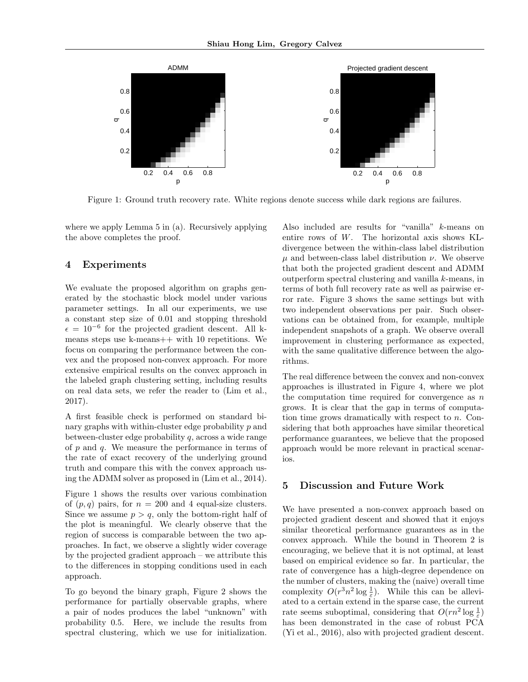

Figure 1: Ground truth recovery rate. White regions denote success while dark regions are failures.

where we apply Lemma 5 in (a). Recursively applying the above completes the proof.

# 4 Experiments

We evaluate the proposed algorithm on graphs generated by the stochastic block model under various parameter settings. In all our experiments, we use a constant step size of 0.01 and stopping threshold  $\epsilon = 10^{-6}$  for the projected gradient descent. All kmeans steps use k-means++ with 10 repetitions. We focus on comparing the performance between the convex and the proposed non-convex approach. For more extensive empirical results on the convex approach in the labeled graph clustering setting, including results on real data sets, we refer the reader to (Lim et al., 2017).

A first feasible check is performed on standard binary graphs with within-cluster edge probability p and between-cluster edge probability q, across a wide range of  $p$  and  $q$ . We measure the performance in terms of the rate of exact recovery of the underlying ground truth and compare this with the convex approach using the ADMM solver as proposed in (Lim et al., 2014).

Figure 1 shows the results over various combination of  $(p, q)$  pairs, for  $n = 200$  and 4 equal-size clusters. Since we assume  $p > q$ , only the bottom-right half of the plot is meaningful. We clearly observe that the region of success is comparable between the two approaches. In fact, we observe a slightly wider coverage by the projected gradient approach – we attribute this to the differences in stopping conditions used in each approach.

To go beyond the binary graph, Figure 2 shows the performance for partially observable graphs, where a pair of nodes produces the label "unknown" with probability 0.5. Here, we include the results from spectral clustering, which we use for initialization.

Also included are results for "vanilla" k-means on entire rows of W. The horizontal axis shows KLdivergence between the within-class label distribution  $\mu$  and between-class label distribution  $\nu$ . We observe that both the projected gradient descent and ADMM outperform spectral clustering and vanilla k-means, in terms of both full recovery rate as well as pairwise error rate. Figure 3 shows the same settings but with two independent observations per pair. Such observations can be obtained from, for example, multiple independent snapshots of a graph. We observe overall improvement in clustering performance as expected, with the same qualitative difference between the algorithms.

The real difference between the convex and non-convex approaches is illustrated in Figure 4, where we plot the computation time required for convergence as  $n$ grows. It is clear that the gap in terms of computation time grows dramatically with respect to n. Considering that both approaches have similar theoretical performance guarantees, we believe that the proposed approach would be more relevant in practical scenarios.

## 5 Discussion and Future Work

We have presented a non-convex approach based on projected gradient descent and showed that it enjoys similar theoretical performance guarantees as in the convex approach. While the bound in Theorem 2 is encouraging, we believe that it is not optimal, at least based on empirical evidence so far. In particular, the rate of convergence has a high-degree dependence on the number of clusters, making the (naive) overall time complexity  $O(r^3n^2 \log \frac{1}{\varepsilon})$ . While this can be alleviated to a certain extend in the sparse case, the current rate seems suboptimal, considering that  $O(rn^2 \log \frac{1}{\varepsilon})$ has been demonstrated in the case of robust PCA (Yi et al., 2016), also with projected gradient descent.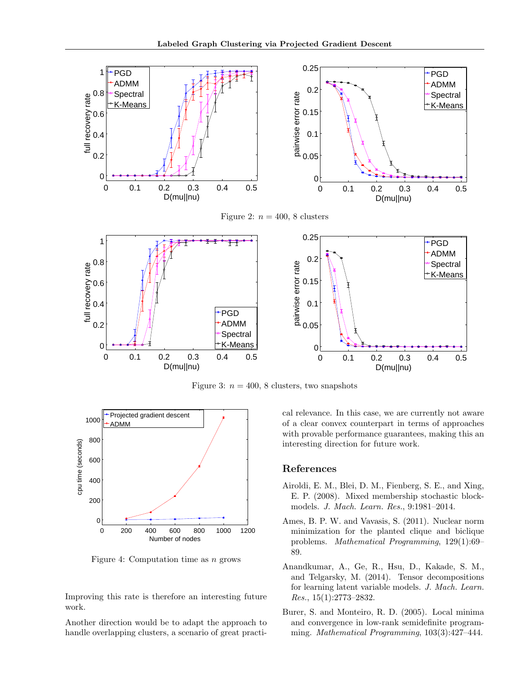

Figure 3:  $n = 400, 8$  clusters, two snapshots



Figure 4: Computation time as  $n$  grows

Improving this rate is therefore an interesting future work.

Another direction would be to adapt the approach to handle overlapping clusters, a scenario of great practical relevance. In this case, we are currently not aware of a clear convex counterpart in terms of approaches with provable performance guarantees, making this an interesting direction for future work.

# References

- Airoldi, E. M., Blei, D. M., Fienberg, S. E., and Xing, E. P. (2008). Mixed membership stochastic blockmodels. J. Mach. Learn. Res., 9:1981–2014.
- Ames, B. P. W. and Vavasis, S. (2011). Nuclear norm minimization for the planted clique and biclique problems. Mathematical Programming, 129(1):69– 89.
- Anandkumar, A., Ge, R., Hsu, D., Kakade, S. M., and Telgarsky, M. (2014). Tensor decompositions for learning latent variable models. J. Mach. Learn. Res., 15(1):2773–2832.
- Burer, S. and Monteiro, R. D. (2005). Local minima and convergence in low-rank semidefinite programming. Mathematical Programming, 103(3):427–444.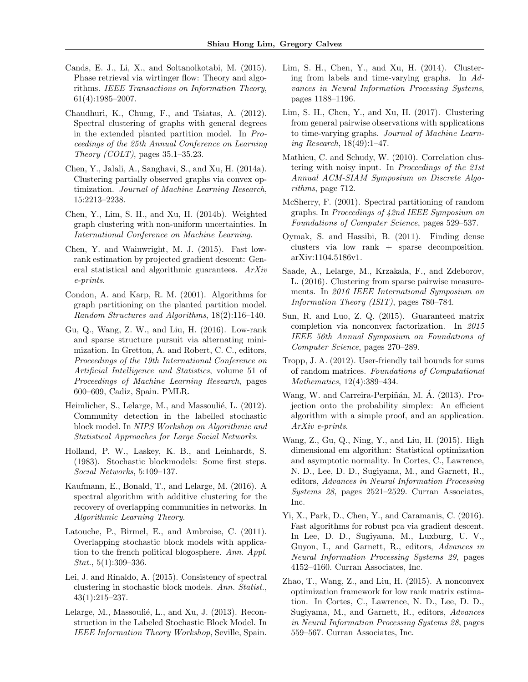- Cands, E. J., Li, X., and Soltanolkotabi, M. (2015). Phase retrieval via wirtinger flow: Theory and algorithms. IEEE Transactions on Information Theory, 61(4):1985–2007.
- Chaudhuri, K., Chung, F., and Tsiatas, A. (2012). Spectral clustering of graphs with general degrees in the extended planted partition model. In Proceedings of the 25th Annual Conference on Learning Theory (COLT), pages  $35.1-35.23$ .
- Chen, Y., Jalali, A., Sanghavi, S., and Xu, H. (2014a). Clustering partially observed graphs via convex optimization. Journal of Machine Learning Research, 15:2213–2238.
- Chen, Y., Lim, S. H., and Xu, H. (2014b). Weighted graph clustering with non-uniform uncertainties. In International Conference on Machine Learning.
- Chen, Y. and Wainwright, M. J. (2015). Fast lowrank estimation by projected gradient descent: General statistical and algorithmic guarantees. ArXiv e-prints.
- Condon, A. and Karp, R. M. (2001). Algorithms for graph partitioning on the planted partition model. Random Structures and Algorithms, 18(2):116–140.
- Gu, Q., Wang, Z. W., and Liu, H. (2016). Low-rank and sparse structure pursuit via alternating minimization. In Gretton, A. and Robert, C. C., editors, Proceedings of the 19th International Conference on Artificial Intelligence and Statistics, volume 51 of Proceedings of Machine Learning Research, pages 600–609, Cadiz, Spain. PMLR.
- Heimlicher, S., Lelarge, M., and Massoulié, L. (2012). Community detection in the labelled stochastic block model. In NIPS Workshop on Algorithmic and Statistical Approaches for Large Social Networks.
- Holland, P. W., Laskey, K. B., and Leinhardt, S. (1983). Stochastic blockmodels: Some first steps. Social Networks, 5:109–137.
- Kaufmann, E., Bonald, T., and Lelarge, M. (2016). A spectral algorithm with additive clustering for the recovery of overlapping communities in networks. In Algorithmic Learning Theory.
- Latouche, P., Birmel, E., and Ambroise, C. (2011). Overlapping stochastic block models with application to the french political blogosphere. Ann. Appl. Stat., 5(1):309–336.
- Lei, J. and Rinaldo, A. (2015). Consistency of spectral clustering in stochastic block models. Ann. Statist., 43(1):215–237.
- Lelarge, M., Massoulié, L., and Xu, J. (2013). Reconstruction in the Labeled Stochastic Block Model. In IEEE Information Theory Workshop, Seville, Spain.
- Lim, S. H., Chen, Y., and Xu, H. (2014). Clustering from labels and time-varying graphs. In Advances in Neural Information Processing Systems, pages 1188–1196.
- Lim, S. H., Chen, Y., and Xu, H. (2017). Clustering from general pairwise observations with applications to time-varying graphs. Journal of Machine Learning Research, 18(49):1–47.
- Mathieu, C. and Schudy, W. (2010). Correlation clustering with noisy input. In Proceedings of the 21st Annual ACM-SIAM Symposium on Discrete Algorithms, page 712.
- McSherry, F. (2001). Spectral partitioning of random graphs. In Proceedings of 42nd IEEE Symposium on Foundations of Computer Science, pages 529–537.
- Oymak, S. and Hassibi, B. (2011). Finding dense clusters via low rank + sparse decomposition. arXiv:1104.5186v1.
- Saade, A., Lelarge, M., Krzakala, F., and Zdeborov, L. (2016). Clustering from sparse pairwise measurements. In 2016 IEEE International Symposium on Information Theory (ISIT), pages 780–784.
- Sun, R. and Luo, Z. Q. (2015). Guaranteed matrix completion via nonconvex factorization. In 2015 IEEE 56th Annual Symposium on Foundations of Computer Science, pages 270–289.
- Tropp, J. A. (2012). User-friendly tail bounds for sums of random matrices. Foundations of Computational Mathematics, 12(4):389–434.
- Wang, W. and Carreira-Perpiñán, M. Á. (2013). Projection onto the probability simplex: An efficient algorithm with a simple proof, and an application. ArXiv e-prints.
- Wang, Z., Gu, Q., Ning, Y., and Liu, H. (2015). High dimensional em algorithm: Statistical optimization and asymptotic normality. In Cortes, C., Lawrence, N. D., Lee, D. D., Sugiyama, M., and Garnett, R., editors, Advances in Neural Information Processing Systems 28, pages 2521–2529. Curran Associates, Inc.
- Yi, X., Park, D., Chen, Y., and Caramanis, C. (2016). Fast algorithms for robust pca via gradient descent. In Lee, D. D., Sugiyama, M., Luxburg, U. V., Guyon, I., and Garnett, R., editors, Advances in Neural Information Processing Systems 29, pages 4152–4160. Curran Associates, Inc.
- Zhao, T., Wang, Z., and Liu, H. (2015). A nonconvex optimization framework for low rank matrix estimation. In Cortes, C., Lawrence, N. D., Lee, D. D., Sugiyama, M., and Garnett, R., editors, Advances in Neural Information Processing Systems 28, pages 559–567. Curran Associates, Inc.